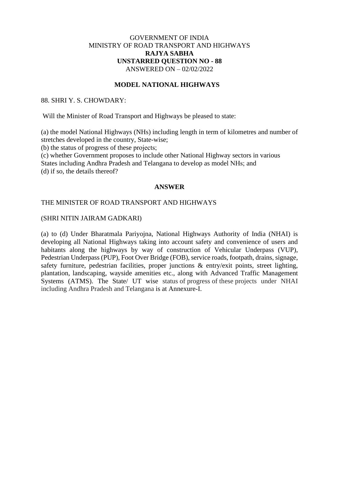# GOVERNMENT OF INDIA MINISTRY OF ROAD TRANSPORT AND HIGHWAYS **RAJYA SABHA UNSTARRED QUESTION NO - 88** ANSWERED ON – 02/02/2022

## **MODEL NATIONAL HIGHWAYS**

### 88. SHRI Y. S. CHOWDARY:

Will the Minister of Road Transport and Highways be pleased to state:

(a) the model National Highways (NHs) including length in term of kilometres and number of stretches developed in the country, State-wise;

(b) the status of progress of these projects;

(c) whether Government proposes to include other National Highway sectors in various

States including Andhra Pradesh and Telangana to develop as model NHs; and (d) if so, the details thereof?

#### **ANSWER**

## THE MINISTER OF ROAD TRANSPORT AND HIGHWAYS

### (SHRI NITIN JAIRAM GADKARI)

(a) to (d) Under Bharatmala Pariyojna, National Highways Authority of India (NHAI) is developing all National Highways taking into account safety and convenience of users and habitants along the highways by way of construction of Vehicular Underpass (VUP), Pedestrian Underpass (PUP), Foot Over Bridge (FOB), service roads, footpath, drains, signage, safety furniture, pedestrian facilities, proper junctions & entry/exit points, street lighting, plantation, landscaping, wayside amenities etc., along with Advanced Traffic Management Systems (ATMS). The State/ UT wise status of progress of these projects under NHAI including Andhra Pradesh and Telangana is at Annexure-I.